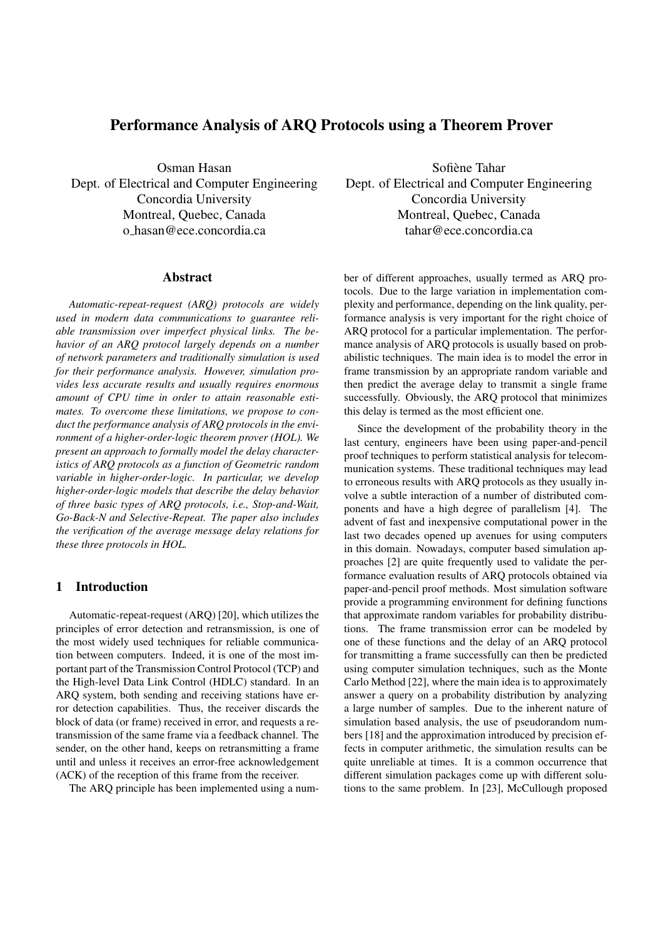# **Performance Analysis of ARQ Protocols using a Theorem Prover**

Osman Hasan Dept. of Electrical and Computer Engineering Concordia University Montreal, Quebec, Canada o hasan@ece.concordia.ca

### **Abstract**

*Automatic-repeat-request (ARQ) protocols are widely used in modern data communications to guarantee reliable transmission over imperfect physical links. The behavior of an ARQ protocol largely depends on a number of network parameters and traditionally simulation is used for their performance analysis. However, simulation provides less accurate results and usually requires enormous amount of CPU time in order to attain reasonable estimates. To overcome these limitations, we propose to conduct the performance analysis of ARQ protocols in the environment of a higher-order-logic theorem prover (HOL). We present an approach to formally model the delay characteristics of ARQ protocols as a function of Geometric random variable in higher-order-logic. In particular, we develop higher-order-logic models that describe the delay behavior of three basic types of ARQ protocols, i.e., Stop-and-Wait, Go-Back-N and Selective-Repeat. The paper also includes the verification of the average message delay relations for these three protocols in HOL.*

### **1 Introduction**

Automatic-repeat-request (ARQ) [20], which utilizes the principles of error detection and retransmission, is one of the most widely used techniques for reliable communication between computers. Indeed, it is one of the most important part of the Transmission Control Protocol (TCP) and the High-level Data Link Control (HDLC) standard. In an ARQ system, both sending and receiving stations have error detection capabilities. Thus, the receiver discards the block of data (or frame) received in error, and requests a retransmission of the same frame via a feedback channel. The sender, on the other hand, keeps on retransmitting a frame until and unless it receives an error-free acknowledgement (ACK) of the reception of this frame from the receiver.

The ARQ principle has been implemented using a num-

Sofiène Tahar Dept. of Electrical and Computer Engineering Concordia University Montreal, Quebec, Canada tahar@ece.concordia.ca

ber of different approaches, usually termed as ARQ protocols. Due to the large variation in implementation complexity and performance, depending on the link quality, performance analysis is very important for the right choice of ARQ protocol for a particular implementation. The performance analysis of ARQ protocols is usually based on probabilistic techniques. The main idea is to model the error in frame transmission by an appropriate random variable and then predict the average delay to transmit a single frame successfully. Obviously, the ARQ protocol that minimizes this delay is termed as the most efficient one.

Since the development of the probability theory in the last century, engineers have been using paper-and-pencil proof techniques to perform statistical analysis for telecommunication systems. These traditional techniques may lead to erroneous results with ARQ protocols as they usually involve a subtle interaction of a number of distributed components and have a high degree of parallelism [4]. The advent of fast and inexpensive computational power in the last two decades opened up avenues for using computers in this domain. Nowadays, computer based simulation approaches [2] are quite frequently used to validate the performance evaluation results of ARQ protocols obtained via paper-and-pencil proof methods. Most simulation software provide a programming environment for defining functions that approximate random variables for probability distributions. The frame transmission error can be modeled by one of these functions and the delay of an ARQ protocol for transmitting a frame successfully can then be predicted using computer simulation techniques, such as the Monte Carlo Method [22], where the main idea is to approximately answer a query on a probability distribution by analyzing a large number of samples. Due to the inherent nature of simulation based analysis, the use of pseudorandom numbers [18] and the approximation introduced by precision effects in computer arithmetic, the simulation results can be quite unreliable at times. It is a common occurrence that different simulation packages come up with different solutions to the same problem. In [23], McCullough proposed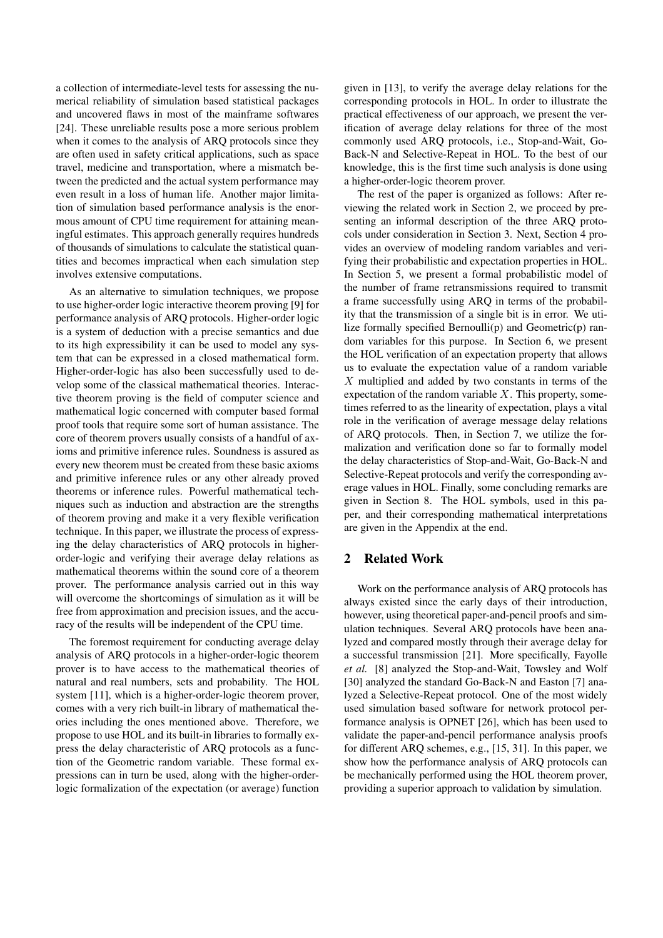a collection of intermediate-level tests for assessing the numerical reliability of simulation based statistical packages and uncovered flaws in most of the mainframe softwares [24]. These unreliable results pose a more serious problem when it comes to the analysis of ARQ protocols since they are often used in safety critical applications, such as space travel, medicine and transportation, where a mismatch between the predicted and the actual system performance may even result in a loss of human life. Another major limitation of simulation based performance analysis is the enormous amount of CPU time requirement for attaining meaningful estimates. This approach generally requires hundreds of thousands of simulations to calculate the statistical quantities and becomes impractical when each simulation step involves extensive computations.

As an alternative to simulation techniques, we propose to use higher-order logic interactive theorem proving [9] for performance analysis of ARQ protocols. Higher-order logic is a system of deduction with a precise semantics and due to its high expressibility it can be used to model any system that can be expressed in a closed mathematical form. Higher-order-logic has also been successfully used to develop some of the classical mathematical theories. Interactive theorem proving is the field of computer science and mathematical logic concerned with computer based formal proof tools that require some sort of human assistance. The core of theorem provers usually consists of a handful of axioms and primitive inference rules. Soundness is assured as every new theorem must be created from these basic axioms and primitive inference rules or any other already proved theorems or inference rules. Powerful mathematical techniques such as induction and abstraction are the strengths of theorem proving and make it a very flexible verification technique. In this paper, we illustrate the process of expressing the delay characteristics of ARQ protocols in higherorder-logic and verifying their average delay relations as mathematical theorems within the sound core of a theorem prover. The performance analysis carried out in this way will overcome the shortcomings of simulation as it will be free from approximation and precision issues, and the accuracy of the results will be independent of the CPU time.

The foremost requirement for conducting average delay analysis of ARQ protocols in a higher-order-logic theorem prover is to have access to the mathematical theories of natural and real numbers, sets and probability. The HOL system [11], which is a higher-order-logic theorem prover, comes with a very rich built-in library of mathematical theories including the ones mentioned above. Therefore, we propose to use HOL and its built-in libraries to formally express the delay characteristic of ARQ protocols as a function of the Geometric random variable. These formal expressions can in turn be used, along with the higher-orderlogic formalization of the expectation (or average) function given in [13], to verify the average delay relations for the corresponding protocols in HOL. In order to illustrate the practical effectiveness of our approach, we present the verification of average delay relations for three of the most commonly used ARQ protocols, i.e., Stop-and-Wait, Go-Back-N and Selective-Repeat in HOL. To the best of our knowledge, this is the first time such analysis is done using a higher-order-logic theorem prover.

The rest of the paper is organized as follows: After reviewing the related work in Section 2, we proceed by presenting an informal description of the three ARQ protocols under consideration in Section 3. Next, Section 4 provides an overview of modeling random variables and verifying their probabilistic and expectation properties in HOL. In Section 5, we present a formal probabilistic model of the number of frame retransmissions required to transmit a frame successfully using ARQ in terms of the probability that the transmission of a single bit is in error. We utilize formally specified Bernoulli(p) and Geometric(p) random variables for this purpose. In Section 6, we present the HOL verification of an expectation property that allows us to evaluate the expectation value of a random variable  $X$  multiplied and added by two constants in terms of the expectation of the random variable  $X$ . This property, sometimes referred to as the linearity of expectation, plays a vital role in the verification of average message delay relations of ARQ protocols. Then, in Section 7, we utilize the formalization and verification done so far to formally model the delay characteristics of Stop-and-Wait, Go-Back-N and Selective-Repeat protocols and verify the corresponding average values in HOL. Finally, some concluding remarks are given in Section 8. The HOL symbols, used in this paper, and their corresponding mathematical interpretations are given in the Appendix at the end.

# **2 Related Work**

Work on the performance analysis of ARQ protocols has always existed since the early days of their introduction, however, using theoretical paper-and-pencil proofs and simulation techniques. Several ARQ protocols have been analyzed and compared mostly through their average delay for a successful transmission [21]. More specifically, Fayolle *et al.* [8] analyzed the Stop-and-Wait, Towsley and Wolf [30] analyzed the standard Go-Back-N and Easton [7] analyzed a Selective-Repeat protocol. One of the most widely used simulation based software for network protocol performance analysis is OPNET [26], which has been used to validate the paper-and-pencil performance analysis proofs for different ARQ schemes, e.g., [15, 31]. In this paper, we show how the performance analysis of ARQ protocols can be mechanically performed using the HOL theorem prover, providing a superior approach to validation by simulation.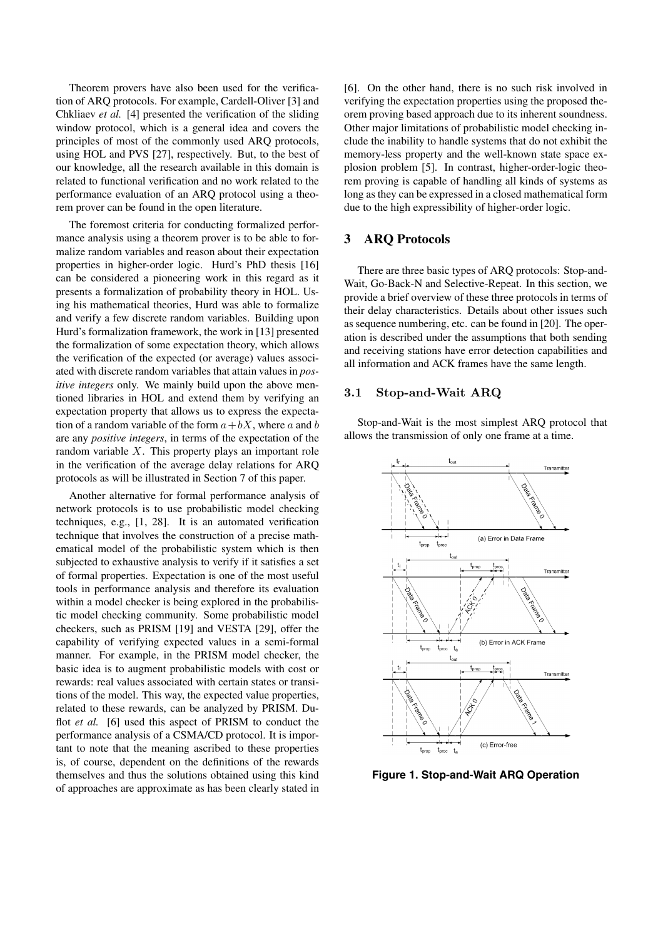Theorem provers have also been used for the verification of ARQ protocols. For example, Cardell-Oliver [3] and Chkliaev *et al.* [4] presented the verification of the sliding window protocol, which is a general idea and covers the principles of most of the commonly used ARQ protocols, using HOL and PVS [27], respectively. But, to the best of our knowledge, all the research available in this domain is related to functional verification and no work related to the performance evaluation of an ARQ protocol using a theorem prover can be found in the open literature.

The foremost criteria for conducting formalized performance analysis using a theorem prover is to be able to formalize random variables and reason about their expectation properties in higher-order logic. Hurd's PhD thesis [16] can be considered a pioneering work in this regard as it presents a formalization of probability theory in HOL. Using his mathematical theories, Hurd was able to formalize and verify a few discrete random variables. Building upon Hurd's formalization framework, the work in [13] presented the formalization of some expectation theory, which allows the verification of the expected (or average) values associated with discrete random variables that attain values in *positive integers* only. We mainly build upon the above mentioned libraries in HOL and extend them by verifying an expectation property that allows us to express the expectation of a random variable of the form  $a+bX$ , where a and b are any *positive integers*, in terms of the expectation of the random variable  $X$ . This property plays an important role in the verification of the average delay relations for ARQ protocols as will be illustrated in Section 7 of this paper.

Another alternative for formal performance analysis of network protocols is to use probabilistic model checking techniques, e.g., [1, 28]. It is an automated verification technique that involves the construction of a precise mathematical model of the probabilistic system which is then subjected to exhaustive analysis to verify if it satisfies a set of formal properties. Expectation is one of the most useful tools in performance analysis and therefore its evaluation within a model checker is being explored in the probabilistic model checking community. Some probabilistic model checkers, such as PRISM [19] and VESTA [29], offer the capability of verifying expected values in a semi-formal manner. For example, in the PRISM model checker, the basic idea is to augment probabilistic models with cost or rewards: real values associated with certain states or transitions of the model. This way, the expected value properties, related to these rewards, can be analyzed by PRISM. Duflot *et al.* [6] used this aspect of PRISM to conduct the performance analysis of a CSMA/CD protocol. It is important to note that the meaning ascribed to these properties is, of course, dependent on the definitions of the rewards themselves and thus the solutions obtained using this kind of approaches are approximate as has been clearly stated in [6]. On the other hand, there is no such risk involved in verifying the expectation properties using the proposed theorem proving based approach due to its inherent soundness. Other major limitations of probabilistic model checking include the inability to handle systems that do not exhibit the memory-less property and the well-known state space explosion problem [5]. In contrast, higher-order-logic theorem proving is capable of handling all kinds of systems as long as they can be expressed in a closed mathematical form due to the high expressibility of higher-order logic.

# **3 ARQ Protocols**

There are three basic types of ARQ protocols: Stop-and-Wait, Go-Back-N and Selective-Repeat. In this section, we provide a brief overview of these three protocols in terms of their delay characteristics. Details about other issues such as sequence numbering, etc. can be found in [20]. The operation is described under the assumptions that both sending and receiving stations have error detection capabilities and all information and ACK frames have the same length.

### **3.1 Stop-and-Wait ARQ**

Stop-and-Wait is the most simplest ARQ protocol that allows the transmission of only one frame at a time.



**Figure 1. Stop-and-Wait ARQ Operation**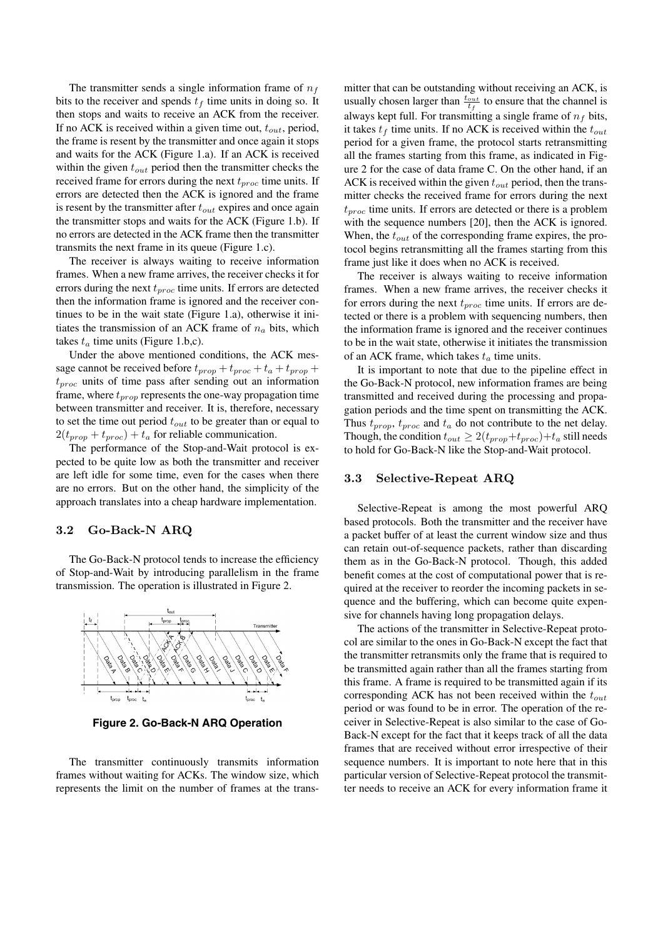The transmitter sends a single information frame of  $n_f$ bits to the receiver and spends  $t_f$  time units in doing so. It then stops and waits to receive an ACK from the receiver. If no ACK is received within a given time out, t*out*, period, the frame is resent by the transmitter and once again it stops and waits for the ACK (Figure 1.a). If an ACK is received within the given t*out* period then the transmitter checks the received frame for errors during the next t*proc* time units. If errors are detected then the ACK is ignored and the frame is resent by the transmitter after t*out* expires and once again the transmitter stops and waits for the ACK (Figure 1.b). If no errors are detected in the ACK frame then the transmitter transmits the next frame in its queue (Figure 1.c).

The receiver is always waiting to receive information frames. When a new frame arrives, the receiver checks it for errors during the next t*proc* time units. If errors are detected then the information frame is ignored and the receiver continues to be in the wait state (Figure 1.a), otherwise it initiates the transmission of an ACK frame of  $n_a$  bits, which takes  $t_a$  time units (Figure 1.b,c).

Under the above mentioned conditions, the ACK message cannot be received before  $t_{prop} + t_{proc} + t_a + t_{prop} +$ t*proc* units of time pass after sending out an information frame, where t*prop* represents the one-way propagation time between transmitter and receiver. It is, therefore, necessary to set the time out period t*out* to be greater than or equal to  $2(t_{prop} + t_{proc}) + t_a$  for reliable communication.

The performance of the Stop-and-Wait protocol is expected to be quite low as both the transmitter and receiver are left idle for some time, even for the cases when there are no errors. But on the other hand, the simplicity of the approach translates into a cheap hardware implementation.

## **3.2 Go-Back-N ARQ**

The Go-Back-N protocol tends to increase the efficiency of Stop-and-Wait by introducing parallelism in the frame transmission. The operation is illustrated in Figure 2.



**Figure 2. Go-Back-N ARQ Operation**

The transmitter continuously transmits information frames without waiting for ACKs. The window size, which represents the limit on the number of frames at the transmitter that can be outstanding without receiving an ACK, is usually chosen larger than  $\frac{t_{out}}{t_f}$  to ensure that the channel is always kept full. For transmitting a single frame of  $n_f$  bits, it takes  $t_f$  time units. If no ACK is received within the  $t_{out}$ period for a given frame, the protocol starts retransmitting all the frames starting from this frame, as indicated in Figure 2 for the case of data frame C. On the other hand, if an ACK is received within the given t*out* period, then the transmitter checks the received frame for errors during the next t*proc* time units. If errors are detected or there is a problem with the sequence numbers [20], then the ACK is ignored. When, the t*out* of the corresponding frame expires, the protocol begins retransmitting all the frames starting from this frame just like it does when no ACK is received.

The receiver is always waiting to receive information frames. When a new frame arrives, the receiver checks it for errors during the next t*proc* time units. If errors are detected or there is a problem with sequencing numbers, then the information frame is ignored and the receiver continues to be in the wait state, otherwise it initiates the transmission of an ACK frame, which takes  $t_a$  time units.

It is important to note that due to the pipeline effect in the Go-Back-N protocol, new information frames are being transmitted and received during the processing and propagation periods and the time spent on transmitting the ACK. Thus  $t_{prop}$ ,  $t_{proc}$  and  $t_a$  do not contribute to the net delay. Though, the condition  $t_{out} \geq 2(t_{prop}+t_{proc})+t_a$  still needs to hold for Go-Back-N like the Stop-and-Wait protocol.

#### **3.3 Selective-Repeat ARQ**

Selective-Repeat is among the most powerful ARQ based protocols. Both the transmitter and the receiver have a packet buffer of at least the current window size and thus can retain out-of-sequence packets, rather than discarding them as in the Go-Back-N protocol. Though, this added benefit comes at the cost of computational power that is required at the receiver to reorder the incoming packets in sequence and the buffering, which can become quite expensive for channels having long propagation delays.

The actions of the transmitter in Selective-Repeat protocol are similar to the ones in Go-Back-N except the fact that the transmitter retransmits only the frame that is required to be transmitted again rather than all the frames starting from this frame. A frame is required to be transmitted again if its corresponding ACK has not been received within the t*out* period or was found to be in error. The operation of the receiver in Selective-Repeat is also similar to the case of Go-Back-N except for the fact that it keeps track of all the data frames that are received without error irrespective of their sequence numbers. It is important to note here that in this particular version of Selective-Repeat protocol the transmitter needs to receive an ACK for every information frame it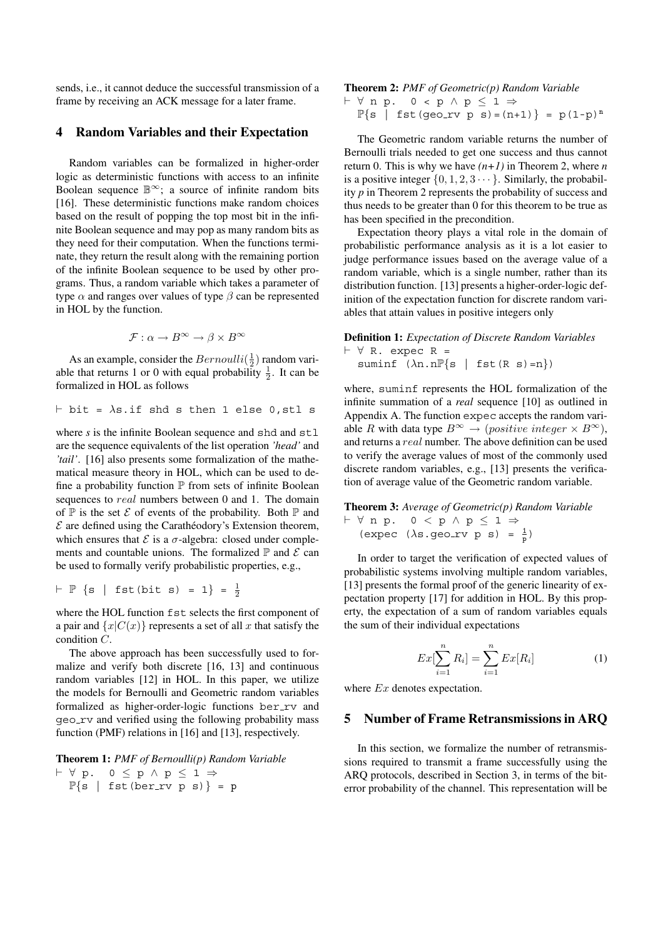sends, i.e., it cannot deduce the successful transmission of a frame by receiving an ACK message for a later frame.

### **4 Random Variables and their Expectation**

Random variables can be formalized in higher-order logic as deterministic functions with access to an infinite Boolean sequence  $\mathbb{B}^{\infty}$ ; a source of infinite random bits [16]. These deterministic functions make random choices based on the result of popping the top most bit in the infinite Boolean sequence and may pop as many random bits as they need for their computation. When the functions terminate, they return the result along with the remaining portion of the infinite Boolean sequence to be used by other programs. Thus, a random variable which takes a parameter of type  $\alpha$  and ranges over values of type  $\beta$  can be represented in HOL by the function.

$$
\mathcal{F}: \alpha \to B^{\infty} \to \beta \times B^{\infty}
$$

As an example, consider the  $Bernoulli(\frac{1}{2})$  random variable that returns 1 or 0 with equal probability  $\frac{1}{2}$ . It can be formalized in HOL as follows

$$
\vdash \texttt{bit} = \lambda \texttt{s}.\texttt{if} \texttt{shd} \texttt{s} \texttt{then} 1 \texttt{else} 0, \texttt{stl} \texttt{s}
$$

where *s* is the infinite Boolean sequence and shd and stl are the sequence equivalents of the list operation *'head'* and *'tail'*. [16] also presents some formalization of the mathematical measure theory in HOL, which can be used to define a probability function  $P$  from sets of infinite Boolean sequences to real numbers between 0 and 1. The domain of  $\mathbb P$  is the set  $\mathcal E$  of events of the probability. Both  $\mathbb P$  and  $\mathcal E$  are defined using the Carathéodory's Extension theorem, which ensures that  $\mathcal E$  is a  $\sigma$ -algebra: closed under complements and countable unions. The formalized  $\mathbb P$  and  $\mathcal E$  can be used to formally verify probabilistic properties, e.g.,

$$
\vdash
$$
 P {s | fst(bit s) = 1} =  $\frac{1}{2}$ 

where the HOL function fst selects the first component of a pair and  $\{x|C(x)\}$  represents a set of all x that satisfy the condition C.

The above approach has been successfully used to formalize and verify both discrete [16, 13] and continuous random variables [12] in HOL. In this paper, we utilize the models for Bernoulli and Geometric random variables formalized as higher-order-logic functions ber\_rv and geo rv and verified using the following probability mass function (PMF) relations in [16] and [13], respectively.

**Theorem 1:** *PMF of Bernoulli(p) Random Variable* ∀ p. 0 ≤ p ∧ p ≤ 1 ⇒  $\mathbb{P}\{s \mid \text{fst}(ber_rrv \mid s)\} = p$ 

**Theorem 2:** *PMF of Geometric(p) Random Variable*

 ∀ n p. 0 < p ∧ p ≤ 1 ⇒  $\mathbb{P}\{s | \text{fst}(geo_r v p s) = (n+1)\} = p(1-p)^n$ 

The Geometric random variable returns the number of Bernoulli trials needed to get one success and thus cannot return 0. This is why we have  $(n+1)$  in Theorem 2, where *n* is a positive integer  $\{0, 1, 2, 3 \cdots\}$ . Similarly, the probability *p* in Theorem 2 represents the probability of success and thus needs to be greater than 0 for this theorem to be true as has been specified in the precondition.

Expectation theory plays a vital role in the domain of probabilistic performance analysis as it is a lot easier to judge performance issues based on the average value of a random variable, which is a single number, rather than its distribution function. [13] presents a higher-order-logic definition of the expectation function for discrete random variables that attain values in positive integers only

**Definition 1:** *Expectation of Discrete Random Variables*  $\vdash$   $\forall$  R. expec R =

suminf  $(\lambda n.n \mathbb{P} \{s \mid fst(R s) = n\})$ 

where, suminf represents the HOL formalization of the infinite summation of a *real* sequence [10] as outlined in Appendix A. The function expec accepts the random variable R with data type  $B^{\infty} \rightarrow (positive\ integer \times B^{\infty})$ , and returns a real number. The above definition can be used to verify the average values of most of the commonly used discrete random variables, e.g., [13] presents the verification of average value of the Geometric random variable.

**Theorem 3:** *Average of Geometric(p) Random Variable* ∀ n p. 0 < p ∧ p ≤ 1 ⇒ (expec  $(\lambda s.geo_r v p s) = \frac{1}{p})$ 

In order to target the verification of expected values of probabilistic systems involving multiple random variables, [13] presents the formal proof of the generic linearity of expectation property [17] for addition in HOL. By this property, the expectation of a sum of random variables equals the sum of their individual expectations

$$
Ex[\sum_{i=1}^{n} R_i] = \sum_{i=1}^{n} Ex[R_i]
$$
 (1)

where  $Ex$  denotes expectation.

## **5 Number of Frame Retransmissions in ARQ**

In this section, we formalize the number of retransmissions required to transmit a frame successfully using the ARQ protocols, described in Section 3, in terms of the biterror probability of the channel. This representation will be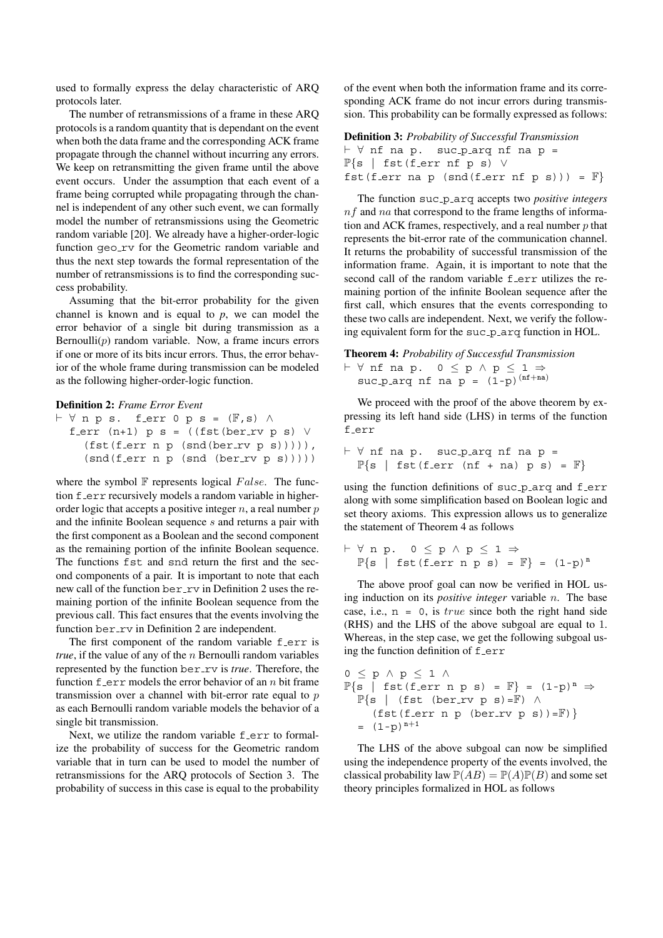used to formally express the delay characteristic of ARQ protocols later.

The number of retransmissions of a frame in these ARQ protocols is a random quantity that is dependant on the event when both the data frame and the corresponding ACK frame propagate through the channel without incurring any errors. We keep on retransmitting the given frame until the above event occurs. Under the assumption that each event of a frame being corrupted while propagating through the channel is independent of any other such event, we can formally model the number of retransmissions using the Geometric random variable [20]. We already have a higher-order-logic function qeo\_rv for the Geometric random variable and thus the next step towards the formal representation of the number of retransmissions is to find the corresponding success probability.

Assuming that the bit-error probability for the given channel is known and is equal to *p*, we can model the error behavior of a single bit during transmission as a Bernoulli $(p)$  random variable. Now, a frame incurs errors if one or more of its bits incur errors. Thus, the error behavior of the whole frame during transmission can be modeled as the following higher-order-logic function.

#### **Definition 2:** *Frame Error Event*

```
\vdash \forall n p s. f_err 0 p s = (\mathbb{F}, s) \wedgef err (n+1) p s = ((fst(ber_r v p s) V(fst(f_error n p (snd(ber_r v p s)))),
     (snd(f_error n p (snd (ber_r v p s))))
```
where the symbol  $\mathbb F$  represents logical False. The function f\_err recursively models a random variable in higherorder logic that accepts a positive integer  $n$ , a real number  $p$ and the infinite Boolean sequence s and returns a pair with the first component as a Boolean and the second component as the remaining portion of the infinite Boolean sequence. The functions fst and snd return the first and the second components of a pair. It is important to note that each new call of the function ber\_rv in Definition 2 uses the remaining portion of the infinite Boolean sequence from the previous call. This fact ensures that the events involving the function  $\text{ber}_{TV}$  in Definition 2 are independent.

The first component of the random variable f\_err is *true*, if the value of any of the *n* Bernoulli random variables represented by the function ber rv is *true*. Therefore, the function  $f$ <sub>-err</sub> models the error behavior of an n bit frame transmission over a channel with bit-error rate equal to p as each Bernoulli random variable models the behavior of a single bit transmission.

Next, we utilize the random variable f\_err to formalize the probability of success for the Geometric random variable that in turn can be used to model the number of retransmissions for the ARQ protocols of Section 3. The probability of success in this case is equal to the probability of the event when both the information frame and its corresponding ACK frame do not incur errors during transmission. This probability can be formally expressed as follows:

| <b>Definition 3: Probability of Successful Transmission</b> |  |  |                                                                                                                     |  |  |  |  |  |
|-------------------------------------------------------------|--|--|---------------------------------------------------------------------------------------------------------------------|--|--|--|--|--|
|                                                             |  |  | ⊦∀nf na p. suc_p_arq nf na p =                                                                                      |  |  |  |  |  |
|                                                             |  |  | $\mathbb{P}\{\mathbf{s} \mid \mathsf{fst}(\mathsf{f}\_\mathsf{err} \text{nf }\mathsf{p}\ \mathsf{s}) \enspace \lor$ |  |  |  |  |  |
|                                                             |  |  | $fst(f_error \na p (snd(f_error \nf p s))) = F$                                                                     |  |  |  |  |  |

The function suc p arq accepts two *positive integers*  $nf$  and na that correspond to the frame lengths of information and ACK frames, respectively, and a real number  $p$  that represents the bit-error rate of the communication channel. It returns the probability of successful transmission of the information frame. Again, it is important to note that the second call of the random variable f err utilizes the remaining portion of the infinite Boolean sequence after the first call, which ensures that the events corresponding to these two calls are independent. Next, we verify the following equivalent form for the suc\_p\_arq function in HOL.

**Theorem 4:** *Probability of Successful Transmission* ∀ nf na p. 0 ≤ p ∧ p ≤ 1 ⇒ suc p arq nf na  $p = (1-p)^{(nf+na)}$ 

We proceed with the proof of the above theorem by expressing its left hand side (LHS) in terms of the function ferr

 ∀ nf na p. suc p arq nf na p =  $\mathbb{P}\{s \mid \text{fst}(f\text{-}err \mid nf + na) \mid p \mid s\} = \mathbb{F}\}$ 

using the function definitions of  $succ\_p$  arq and  $f$  err along with some simplification based on Boolean logic and set theory axioms. This expression allows us to generalize the statement of Theorem 4 as follows

 ∀ n p. 0 ≤ p ∧ p ≤ 1 ⇒  $\mathbb{P}\{\mathbf{s} \mid \text{fst}(f\text{-}err \mid \mathbf{p} \mid \mathbf{s}) = \mathbb{F}\} = (1-p)^n$ 

The above proof goal can now be verified in HOL using induction on its *positive integer* variable n. The base case, i.e.,  $n = 0$ , is *true* since both the right hand side (RHS) and the LHS of the above subgoal are equal to 1. Whereas, in the step case, we get the following subgoal using the function definition of f\_err

$$
0 \leq p \land p \leq 1 \land
$$
  
\n
$$
\mathbb{P}\{s \mid \text{fst}(f\text{-}err \mid p \mid s) = \mathbb{F}\} = (1-p)^n \Rightarrow
$$
  
\n
$$
\mathbb{P}\{s \mid (\text{fst} (\text{ber\_rv} \mid p \mid s) = \mathbb{F}) \land
$$
  
\n
$$
(\text{fst}(f\text{-}err \mid p (\text{ber\_rv} \mid p \mid s)) = \mathbb{F})\}
$$
  
\n
$$
= (1-p)^{n+1}
$$

The LHS of the above subgoal can now be simplified using the independence property of the events involved, the classical probability law  $\mathbb{P}(AB) = \mathbb{P}(A)\mathbb{P}(B)$  and some set theory principles formalized in HOL as follows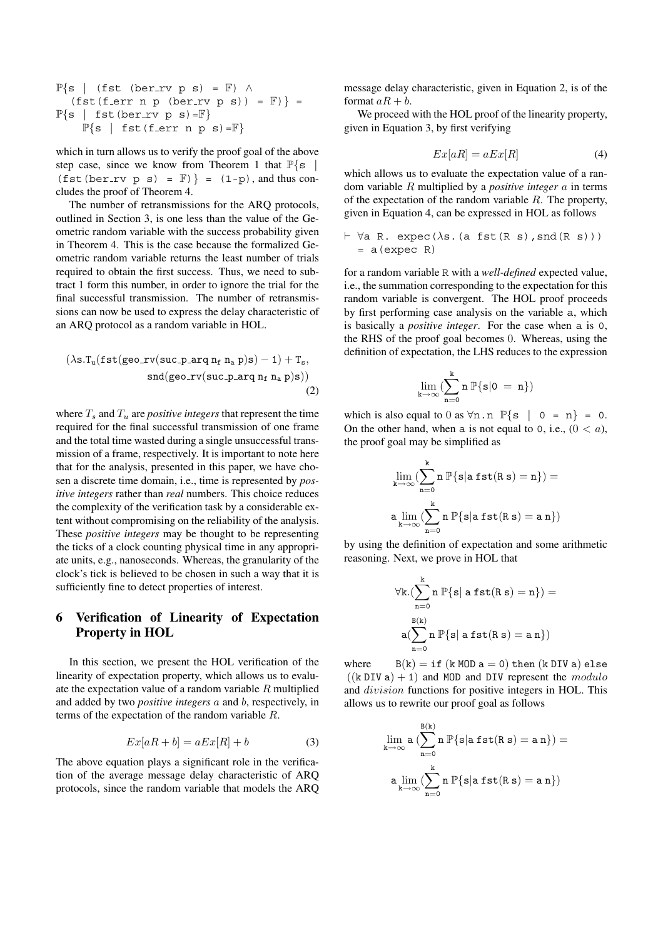$\mathbb{P}\{s \mid (fst \text{ (ber_rvv p s)} = \mathbb{F}) \land$  $(fst(ferr n p (ber_r v p s)) = F)$  =  $\mathbb{P}\{\mathbf{s} \mid \text{fst}( \text{ber}_{\mathcal{IV}} p \mathbf{s}) = \mathbb{F}\}\$  $\mathbb{P}\{\mathbf{s} \mid \text{fst}(f\text{-}err \mid n \mid \mathbf{s}) = \mathbb{F}\}\$ 

which in turn allows us to verify the proof goal of the above step case, since we know from Theorem 1 that  $\mathbb{P}\{s | s\}$  $(fst(ber_rrv p s) = \mathbb{F})$  =  $(1-p)$ , and thus concludes the proof of Theorem 4.

The number of retransmissions for the ARQ protocols, outlined in Section 3, is one less than the value of the Geometric random variable with the success probability given in Theorem 4. This is the case because the formalized Geometric random variable returns the least number of trials required to obtain the first success. Thus, we need to subtract 1 form this number, in order to ignore the trial for the final successful transmission. The number of retransmissions can now be used to express the delay characteristic of an ARQ protocol as a random variable in HOL.

$$
(\lambda s.T_u(fst(geo_r v(suc_p-arq n_f n_a p)s) - 1) + T_s, snd(geo_r v(suc_p-arq n_f n_a p)s))
$$
\n(2)

where  $T_s$  and  $T_u$  are *positive integers* that represent the time required for the final successful transmission of one frame and the total time wasted during a single unsuccessful transmission of a frame, respectively. It is important to note here that for the analysis, presented in this paper, we have chosen a discrete time domain, i.e., time is represented by *positive integers* rather than *real* numbers. This choice reduces the complexity of the verification task by a considerable extent without compromising on the reliability of the analysis. These *positive integers* may be thought to be representing the ticks of a clock counting physical time in any appropriate units, e.g., nanoseconds. Whereas, the granularity of the clock's tick is believed to be chosen in such a way that it is sufficiently fine to detect properties of interest.

# **6 Verification of Linearity of Expectation Property in HOL**

In this section, we present the HOL verification of the linearity of expectation property, which allows us to evaluate the expectation value of a random variable  $R$  multiplied and added by two *positive integers* a and b, respectively, in terms of the expectation of the random variable R.

$$
Ex[aR + b] = aEx[R] + b \tag{3}
$$

The above equation plays a significant role in the verification of the average message delay characteristic of ARQ protocols, since the random variable that models the ARQ message delay characteristic, given in Equation 2, is of the format  $aR + b$ .

We proceed with the HOL proof of the linearity property, given in Equation 3, by first verifying

$$
Ex[aR] = aEx[R] \tag{4}
$$

which allows us to evaluate the expectation value of a random variable R multiplied by a *positive integer* a in terms of the expectation of the random variable R. The property, given in Equation 4, can be expressed in HOL as follows

$$
\vdash \forall a \ R. \ \text{expect}(\lambda s. (a \ \text{fst} (R \ s), \text{snd} (R \ s)))
$$
\n
$$
= a(\text{expect} \ R)
$$

for a random variable R with a *well-defined* expected value, i.e., the summation corresponding to the expectation for this random variable is convergent. The HOL proof proceeds by first performing case analysis on the variable a, which is basically a *positive integer*. For the case when a is 0, the RHS of the proof goal becomes 0. Whereas, using the definition of expectation, the LHS reduces to the expression

$$
\lim_{k\to\infty}(\sum_{n=0}^kn\,\mathbb{P}\{s|0\;=\;n\})
$$

which is also equal to 0 as  $\forall n.n \mathbb{P}\{s \mid 0=n\} = 0$ . On the other hand, when a is not equal to 0, i.e.,  $(0 < a)$ , the proof goal may be simplified as

$$
\lim_{k\rightarrow\infty}(\sum_{n=0}^{k}n\,\mathbb{P}\{s|a\,\text{fst}(R\,s)=n\})=\\a\lim_{k\rightarrow\infty}(\sum_{n=0}^{k}n\,\mathbb{P}\{s|a\,\text{fst}(R\,s)=a\,n\})
$$

by using the definition of expectation and some arithmetic reasoning. Next, we prove in HOL that

$$
\forall k. (\sum_{n=0}^k n \; \mathbb{P}\{s| a \; \text{fst}(R\; s) = n\}) = \\[1.5ex] a(\sum_{n=0}^{B(k)} n \; \mathbb{P}\{s| a \; \text{fst}(R\; s) = a\; n\})
$$

where  $B(k) = if (k MOD a = 0) then (k DIV a) else$  $((k DIV a) + 1)$  and MOD and DIV represent the modulo and division functions for positive integers in HOL. This allows us to rewrite our proof goal as follows

$$
\lim_{k \to \infty} a \left( \sum_{n=0}^{B(k)} n \,\mathbb{P}\{s | a \, \text{fst}(R \, s) = a \, n\} \right) =
$$
\n
$$
a \lim_{k \to \infty} (\sum_{n=0}^{k} n \,\mathbb{P}\{s | a \, \text{fst}(R \, s) = a \, n\})
$$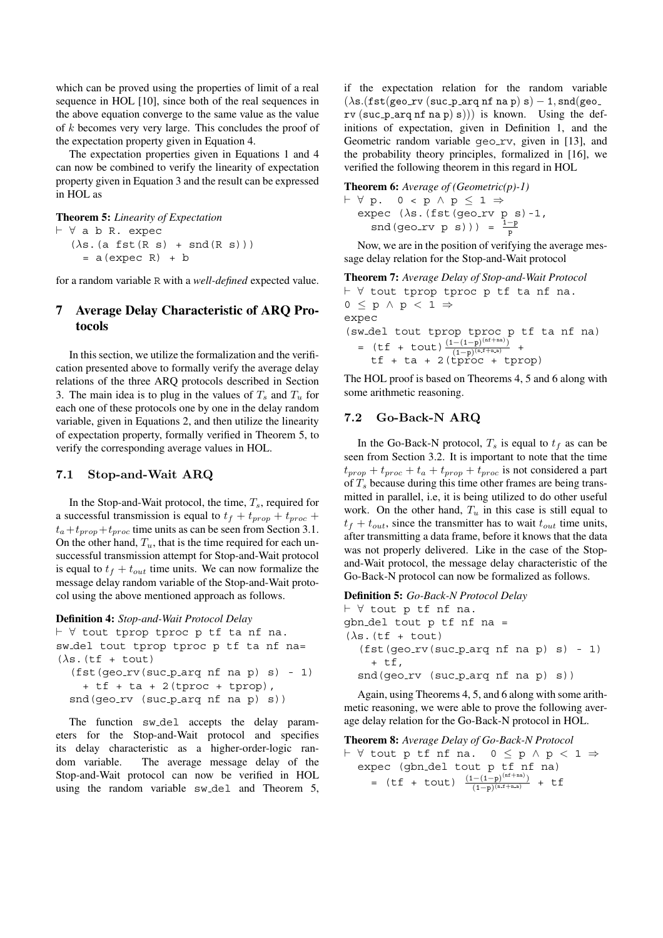which can be proved using the properties of limit of a real sequence in HOL [10], since both of the real sequences in the above equation converge to the same value as the value of k becomes very very large. This concludes the proof of the expectation property given in Equation 4.

The expectation properties given in Equations 1 and 4 can now be combined to verify the linearity of expectation property given in Equation 3 and the result can be expressed in HOL as

**Theorem 5:** *Linearity of Expectation*

 ∀ a b R. expec  $(\lambda s. (a \text{fst}(R s) + \text{snd}(R s)))$  $= a(expec R) + b$ 

for a random variable R with a *well-defined* expected value.

# **7 Average Delay Characteristic of ARQ Protocols**

In this section, we utilize the formalization and the verification presented above to formally verify the average delay relations of the three ARQ protocols described in Section 3. The main idea is to plug in the values of  $T_s$  and  $T_u$  for each one of these protocols one by one in the delay random variable, given in Equations 2, and then utilize the linearity of expectation property, formally verified in Theorem 5, to verify the corresponding average values in HOL.

### **7.1 Stop-and-Wait ARQ**

In the Stop-and-Wait protocol, the time, T*s*, required for a successful transmission is equal to  $t_f + t_{prop} + t_{proc} +$  $t_a + t_{prop} + t_{proc}$  time units as can be seen from Section 3.1. On the other hand,  $T_u$ , that is the time required for each unsuccessful transmission attempt for Stop-and-Wait protocol is equal to  $t_f + t_{out}$  time units. We can now formalize the message delay random variable of the Stop-and-Wait protocol using the above mentioned approach as follows.

#### **Definition 4:** *Stop-and-Wait Protocol Delay*

 ∀ tout tprop tproc p tf ta nf na. sw del tout tprop tproc p tf ta nf na=  $(\lambda s. (tf + tout))$  $(fst(geo_rrv(suc_p_arrq nf_nfa p) s) - 1)$  $+ t f + t a + 2(tproc + tprop)$ , snd(geo\_rv (suc\_p\_arq nf na p) s))

The function sw\_del accepts the delay parameters for the Stop-and-Wait protocol and specifies its delay characteristic as a higher-order-logic random variable. The average message delay of the Stop-and-Wait protocol can now be verified in HOL using the random variable sw del and Theorem 5, if the expectation relation for the random variable  $(\lambda s.(\text{fst}(geo_r v (suc_p_a \text{arq n} f na p) s) - 1, \text{snd}(geo_a$ rv (suc p arq nf na p) s))) is known. Using the definitions of expectation, given in Definition 1, and the Geometric random variable qeo\_rv, given in [13], and the probability theory principles, formalized in [16], we verified the following theorem in this regard in HOL

### **Theorem 6:** *Average of (Geometric(p)-1)*

 ∀ p. 0 < p ∧ p ≤ 1 ⇒ expec  $(\lambda s.$  (fst(geo\_rv p s)-1,  $\texttt{snd}(\texttt{geo\_rv} \; p \; s)) = \frac{1-p}{p}$ 

Now, we are in the position of verifying the average message delay relation for the Stop-and-Wait protocol

**Theorem 7:** *Average Delay of Stop-and-Wait Protocol* ∀ tout tprop tproc p tf ta nf na.  $0 \leq p \land p < 1 \Rightarrow$ 

expec (sw del tout tprop tproc p tf ta nf na) = (tf + tout) $\frac{(1-(1-p)^{(nf+na)})}{(1-p)^{(nf+na)}}$  +<br>tf + ta + 2(tproc + tprop)

The HOL proof is based on Theorems 4, 5 and 6 along with some arithmetic reasoning.

### **7.2 Go-Back-N ARQ**

In the Go-Back-N protocol,  $T_s$  is equal to  $t_f$  as can be seen from Section 3.2. It is important to note that the time  $t_{prop} + t_{proc} + t_a + t_{prop} + t_{proc}$  is not considered a part of T*<sup>s</sup>* because during this time other frames are being transmitted in parallel, i.e, it is being utilized to do other useful work. On the other hand,  $T_u$  in this case is still equal to  $t_f + t_{out}$ , since the transmitter has to wait  $t_{out}$  time units, after transmitting a data frame, before it knows that the data was not properly delivered. Like in the case of the Stopand-Wait protocol, the message delay characteristic of the Go-Back-N protocol can now be formalized as follows.

#### **Definition 5:** *Go-Back-N Protocol Delay*

 ∀ tout p tf nf na. gbn del tout p tf nf na =  $(\lambda s. (tf + tout)$  $(fst(geo_rrv(suc_parq nr f na p) s) - 1)$  $+$  tf, snd(geo\_rv (suc\_p\_arq nf na p) s))

Again, using Theorems 4, 5, and 6 along with some arithmetic reasoning, we were able to prove the following average delay relation for the Go-Back-N protocol in HOL.

**Theorem 8:** *Average Delay of Go-Back-N Protocol* ∀ tout p tf nf na. 0 ≤ p ∧ p < 1 ⇒ expec (gbn del tout p tf nf na)  $=$  (tf + tout)  $\frac{(1-(1-p)^{(nf+na)})}{(1-p)^{(n.f+na)}}$  + tf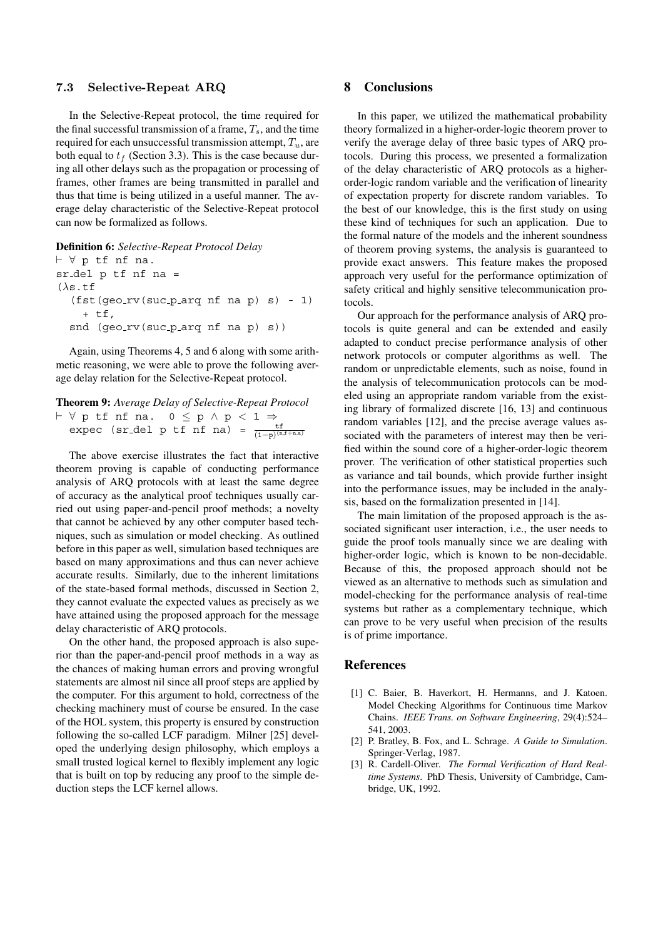### **7.3 Selective-Repeat ARQ**

In the Selective-Repeat protocol, the time required for the final successful transmission of a frame,  $T_s$ , and the time required for each unsuccessful transmission attempt, T*u*, are both equal to  $t_f$  (Section 3.3). This is the case because during all other delays such as the propagation or processing of frames, other frames are being transmitted in parallel and thus that time is being utilized in a useful manner. The average delay characteristic of the Selective-Repeat protocol can now be formalized as follows.

## **Definition 6:** *Selective-Repeat Protocol Delay*

```
 ∀ p tf nf na.
sr del p tf nf na =
(\lambda s.tf(fst(geo_rv(suc_parq_rarq nfna p) s) - 1)+ tf,
  snd (geo_rv(suc_p_arq nf na p) s))
```
Again, using Theorems 4, 5 and 6 along with some arithmetic reasoning, we were able to prove the following average delay relation for the Selective-Repeat protocol.

**Theorem 9:** *Average Delay of Selective-Repeat Protocol*  $\vdash \forall$  p tf nf na.  $0 \leq p \land p < 1 \Rightarrow$ expec (sr\_del p tf nf na) =  $\frac{tf}{(1-p)^{(n.f+n.a)}}$ 

The above exercise illustrates the fact that interactive theorem proving is capable of conducting performance analysis of ARQ protocols with at least the same degree of accuracy as the analytical proof techniques usually carried out using paper-and-pencil proof methods; a novelty that cannot be achieved by any other computer based techniques, such as simulation or model checking. As outlined before in this paper as well, simulation based techniques are based on many approximations and thus can never achieve accurate results. Similarly, due to the inherent limitations of the state-based formal methods, discussed in Section 2, they cannot evaluate the expected values as precisely as we have attained using the proposed approach for the message delay characteristic of ARQ protocols.

On the other hand, the proposed approach is also superior than the paper-and-pencil proof methods in a way as the chances of making human errors and proving wrongful statements are almost nil since all proof steps are applied by the computer. For this argument to hold, correctness of the checking machinery must of course be ensured. In the case of the HOL system, this property is ensured by construction following the so-called LCF paradigm. Milner [25] developed the underlying design philosophy, which employs a small trusted logical kernel to flexibly implement any logic that is built on top by reducing any proof to the simple deduction steps the LCF kernel allows.

## **8 Conclusions**

In this paper, we utilized the mathematical probability theory formalized in a higher-order-logic theorem prover to verify the average delay of three basic types of ARQ protocols. During this process, we presented a formalization of the delay characteristic of ARQ protocols as a higherorder-logic random variable and the verification of linearity of expectation property for discrete random variables. To the best of our knowledge, this is the first study on using these kind of techniques for such an application. Due to the formal nature of the models and the inherent soundness of theorem proving systems, the analysis is guaranteed to provide exact answers. This feature makes the proposed approach very useful for the performance optimization of safety critical and highly sensitive telecommunication protocols.

Our approach for the performance analysis of ARQ protocols is quite general and can be extended and easily adapted to conduct precise performance analysis of other network protocols or computer algorithms as well. The random or unpredictable elements, such as noise, found in the analysis of telecommunication protocols can be modeled using an appropriate random variable from the existing library of formalized discrete [16, 13] and continuous random variables [12], and the precise average values associated with the parameters of interest may then be verified within the sound core of a higher-order-logic theorem prover. The verification of other statistical properties such as variance and tail bounds, which provide further insight into the performance issues, may be included in the analysis, based on the formalization presented in [14].

The main limitation of the proposed approach is the associated significant user interaction, i.e., the user needs to guide the proof tools manually since we are dealing with higher-order logic, which is known to be non-decidable. Because of this, the proposed approach should not be viewed as an alternative to methods such as simulation and model-checking for the performance analysis of real-time systems but rather as a complementary technique, which can prove to be very useful when precision of the results is of prime importance.

# **References**

- [1] C. Baier, B. Haverkort, H. Hermanns, and J. Katoen. Model Checking Algorithms for Continuous time Markov Chains. *IEEE Trans. on Software Engineering*, 29(4):524– 541, 2003.
- [2] P. Bratley, B. Fox, and L. Schrage. *A Guide to Simulation*. Springer-Verlag, 1987.
- [3] R. Cardell-Oliver. *The Formal Verification of Hard Realtime Systems*. PhD Thesis, University of Cambridge, Cambridge, UK, 1992.